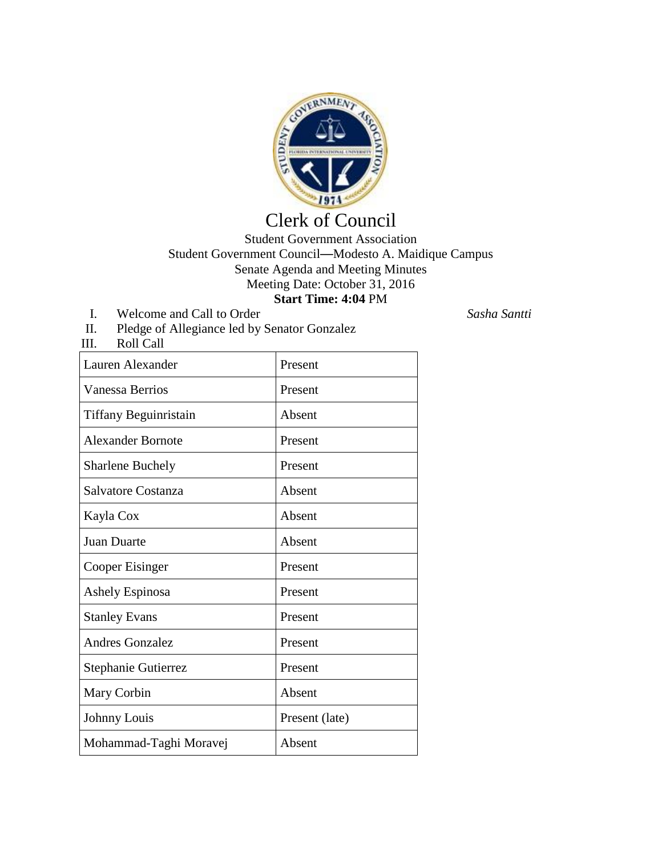

## Clerk of Council

## Student Government Association Student Government Council—Modesto A. Maidique Campus Senate Agenda and Meeting Minutes Meeting Date: October 31, 2016 **Start Time: 4:04** PM

- I. Welcome and Call to Order *Sasha Santti*
- II. Pledge of Allegiance led by Senator Gonzalez
- III. Roll Call

| Lauren Alexander             | Present        |
|------------------------------|----------------|
| <b>Vanessa Berrios</b>       | Present        |
| <b>Tiffany Beguinristain</b> | Absent         |
| <b>Alexander Bornote</b>     | Present        |
| <b>Sharlene Buchely</b>      | Present        |
| Salvatore Costanza           | Absent         |
| Kayla Cox                    | Absent         |
| <b>Juan Duarte</b>           | Absent         |
| Cooper Eisinger              | Present        |
| <b>Ashely Espinosa</b>       | Present        |
| <b>Stanley Evans</b>         | Present        |
| <b>Andres Gonzalez</b>       | Present        |
| Stephanie Gutierrez          | Present        |
| Mary Corbin                  | Absent         |
| Johnny Louis                 | Present (late) |
| Mohammad-Taghi Moravej       | Absent         |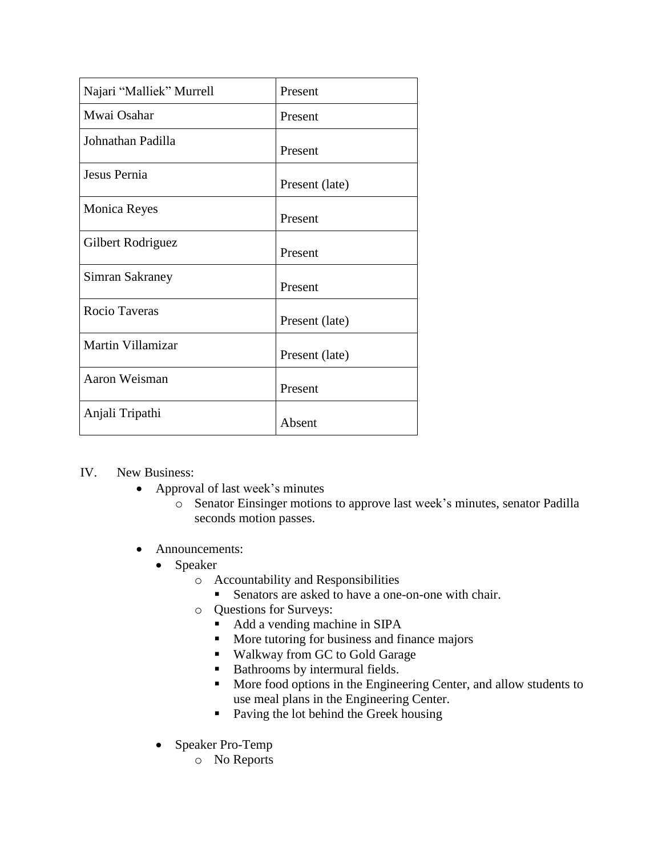| Najari "Malliek" Murrell | Present        |
|--------------------------|----------------|
| Mwai Osahar              | Present        |
| Johnathan Padilla        | Present        |
| Jesus Pernia             | Present (late) |
| <b>Monica Reyes</b>      | Present        |
| Gilbert Rodriguez        | Present        |
| Simran Sakraney          | Present        |
| Rocio Taveras            | Present (late) |
| Martin Villamizar        | Present (late) |
| Aaron Weisman            | Present        |
| Anjali Tripathi          | Absent         |

## IV. New Business:

- Approval of last week's minutes
	- o Senator Einsinger motions to approve last week's minutes, senator Padilla seconds motion passes.
- Announcements:
	- Speaker
		- o Accountability and Responsibilities
			- Senators are asked to have a one-on-one with chair.
		- o Questions for Surveys:
			- Add a vending machine in SIPA
			- More tutoring for business and finance majors
			- Walkway from GC to Gold Garage
			- Bathrooms by intermural fields.
			- **More food options in the Engineering Center, and allow students to** use meal plans in the Engineering Center.
			- Paving the lot behind the Greek housing
	- Speaker Pro-Temp
		- o No Reports